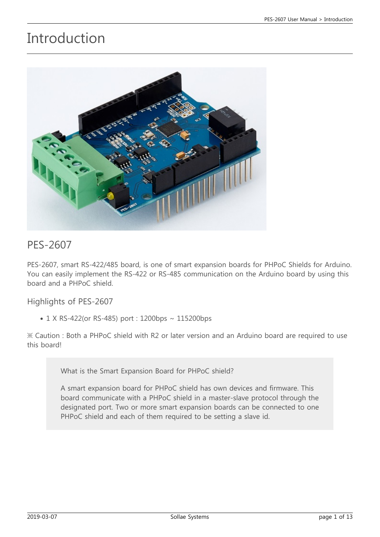## Introduction



#### PES-2607

PES-2607, smart RS-422/485 board, is one of smart expansion boards for PHPoC Shields for Arduino. You can easily implement the RS-422 or RS-485 communication on the Arduino board by using this board and a PHPoC shield.

Highlights of PES-2607

• 1 X RS-422(or RS-485) port : 1200bps ~ 115200bps

※ Caution : Both a PHPoC shield with R2 or later version and an Arduino board are required to use this board!

What is the Smart Expansion Board for PHPoC shield?

A smart expansion board for PHPoC shield has own devices and firmware. This board communicate with a PHPoC shield in a master-slave protocol through the designated port. Two or more smart expansion boards can be connected to one PHPoC shield and each of them required to be setting a slave id.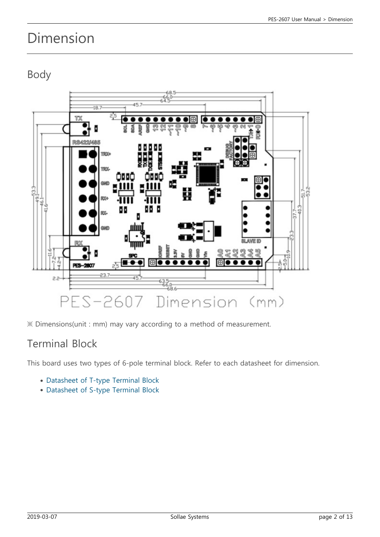## Dimension

Body



※ Dimensions(unit : mm) may vary according to a method of measurement.

### Terminal Block

This board uses two types of 6-pole terminal block. Refer to each datasheet for dimension.

- [Datasheet of T-type Terminal Block](https://www.phpoc.com/support/manual/pes-2607_user_manual/img/tb_type_T.pdf)
- [Datasheet of S-type Terminal Block](https://www.phpoc.com/support/manual/pes-2607_user_manual/img/tb_type_S.pdf)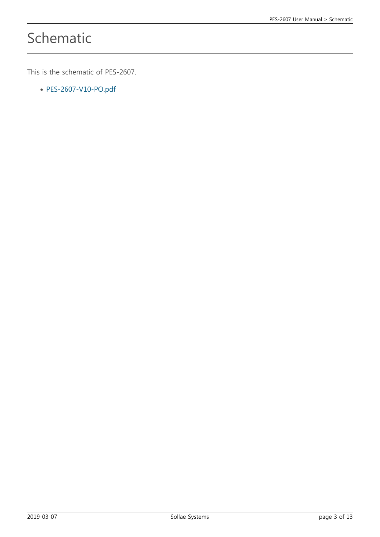# Schematic

This is the schematic of PES-2607.

[PES-2607-V10-PO.pdf](https://www.phpoc.com/support/manual/pes-2607_user_manual/img/PES-2607-V10-PO.pdf)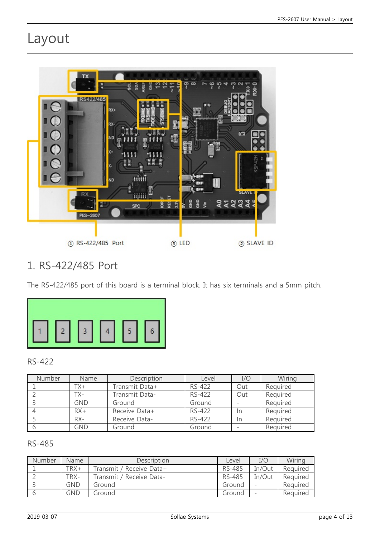## Layout



### 1. RS-422/485 Port

The RS-422/485 port of this board is a terminal block. It has six terminals and a 5mm pitch.



#### RS-422

| <b>Number</b> | Name       | Description    | Level  | I/O | Wiring   |
|---------------|------------|----------------|--------|-----|----------|
|               | TX+        | Transmit Data+ | RS-422 | Out | Required |
|               | TX-        | Transmit Data- | RS-422 | Out | Required |
|               | <b>GND</b> | Ground         | Ground |     | Required |
|               | $RX+$      | Receive Data+  | RS-422 | In  | Required |
|               | $RX -$     | Receive Data-  | RS-422 | In  | Required |
|               | <b>GND</b> | Ground         | Ground |     | Required |

#### RS-485

| Number | <b>Name</b> | Description              | Level         | I/O    | Wiring   |
|--------|-------------|--------------------------|---------------|--------|----------|
|        | TRX+        | Transmit / Receive Data+ | RS-485        | In/Out | Required |
|        | TRX-        | Transmit / Receive Data- | <b>RS-485</b> | In/Out | Required |
|        | GND         | Ground                   | Ground        |        | Required |
|        | GND         | Ground                   | Ground        |        | Required |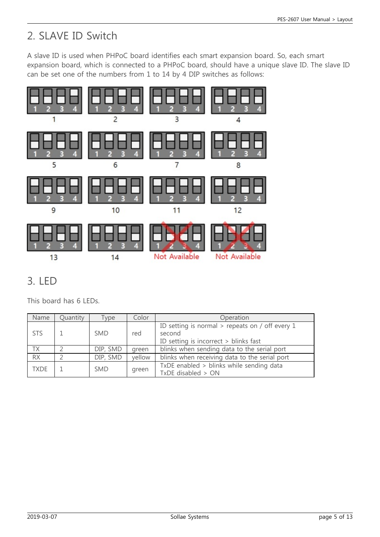## 2. SLAVE ID Switch

A slave ID is used when PHPoC board identifies each smart expansion board. So, each smart expansion board, which is connected to a PHPoC board, should have a unique slave ID. The slave ID can be set one of the numbers from 1 to 14 by 4 DIP switches as follows:



### 3. LED

This board has 6 LEDs.

| Name            | Quantity | Type       | Color  | Operation                                                                                            |
|-----------------|----------|------------|--------|------------------------------------------------------------------------------------------------------|
| <b>STS</b>      |          | <b>SMD</b> | red    | ID setting is normal $>$ repeats on / off every 1<br>second<br>ID setting is incorrect > blinks fast |
| ТX              |          | DIP, SMD   | green  | blinks when sending data to the serial port                                                          |
| $\overline{RX}$ |          | DIP, SMD   | yellow | blinks when receiving data to the serial port                                                        |
| <b>TXDE</b>     |          | <b>SMD</b> | green  | TxDE enabled > blinks while sending data<br>TxDE disabled > ON                                       |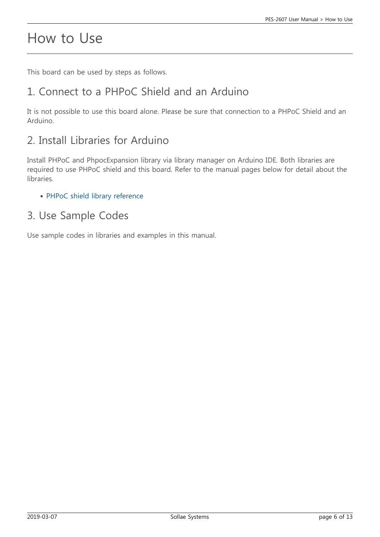## How to Use

This board can be used by steps as follows.

## 1. Connect to a PHPoC Shield and an Arduino

It is not possible to use this board alone. Please be sure that connection to a PHPoC Shield and an Arduino.

## 2. Install Libraries for Arduino

Install PHPoC and PhpocExpansion library via library manager on Arduino IDE. Both libraries are required to use PHPoC shield and this board. Refer to the manual pages below for detail about the libraries.

• [PHPoC shield library reference](https://www.phpoc.com/support/manual/phpoc_shield_for_arduino_library_reference)

### 3. Use Sample Codes

Use sample codes in libraries and examples in this manual.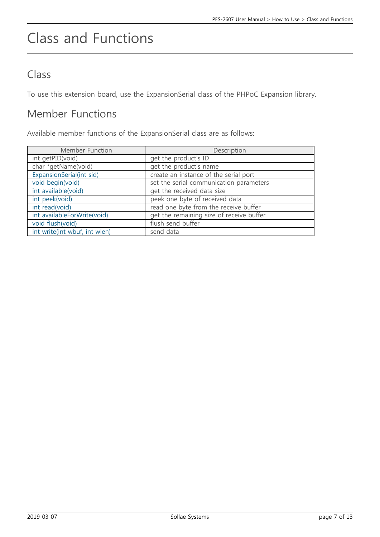# Class and Functions

## Class

To use this extension board, use the ExpansionSerial class of the PHPoC Expansion library.

## Member Functions

Available member functions of the ExpansionSerial class are as follows:

| Member Function               | Description                              |
|-------------------------------|------------------------------------------|
| int getPID(void)              | get the product's ID                     |
| char *getName(void)           | get the product's name                   |
| ExpansionSerial(int sid)      | create an instance of the serial port    |
| void begin(void)              | set the serial communication parameters  |
| int available(void)           | get the received data size               |
| int peek(void)                | peek one byte of received data           |
| int read(void)                | read one byte from the receive buffer    |
| int availableForWrite(void)   | get the remaining size of receive buffer |
| void flush(void)              | flush send buffer                        |
| int write(int wbuf, int wlen) | send data                                |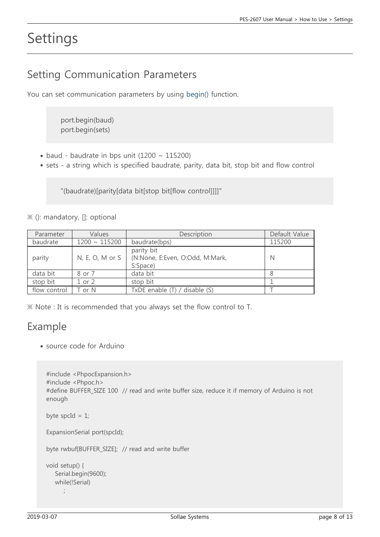## Settings

### Setting Communication Parameters

You can set communication parameters by using [begin\(\)](https://www.phpoc.com/support/manual/phpoc_shield_expansion_library_reference/contents.php?id=expansion_serial_begin) function.

port.begin(baud) port.begin(sets)

- $\bullet$  baud baudrate in bps unit (1200 ~ 115200)
- sets a string which is specified baudrate, parity, data bit, stop bit and flow control

"(baudrate)[parity[data bit[stop bit[flow control]]]]"

※ (): mandatory, []: optional

| Parameter    | Values             | Description                                               | Default Value |
|--------------|--------------------|-----------------------------------------------------------|---------------|
| baudrate     | $1200 \sim 115200$ | baudrate(bps)                                             | 115200        |
| parity       | $N, E, O, M$ or S  | parity bit<br>(N:None, E:Even, O:Odd, M:Mark,<br>S:Space) | N             |
| data bit     | 8 or 7             | data bit                                                  |               |
| stop bit     | $1$ or $2$         | stop bit                                                  |               |
| flow control | Г or N             | TxDE enable (T) / disable (S)                             |               |

※ Note : It is recommended that you always set the flow control to T.

### Example

source code for Arduino

```
#include <PhpocExpansion.h>
#include <Phpoc.h>
#define BUFFER_SIZE 100 // read and write buffer size, reduce it if memory of Arduino is not
enough
byte spcId = 1;
ExpansionSerial port(spcId);
byte rwbuf[BUFFER_SIZE]; // read and write buffer
```

```
void setup() {
    Serial.begin(9600);
    while(!Serial)
\ddot{i}
```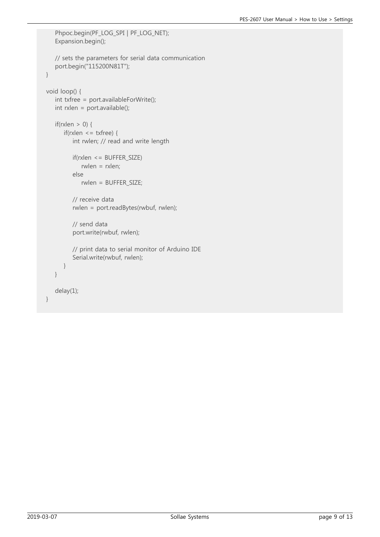```
 Phpoc.begin(PF_LOG_SPI | PF_LOG_NET);
    Expansion.begin();
    // sets the parameters for serial data communication
    port.begin("115200N81T");
}
void loop() {
    int txfree = port.availableForWrite();
    int rxlen = port.available();
   if(rxlen > 0) {
       if(rxlen <= txfree) {
          int rwlen; // read and write length
           if(rxlen <= BUFFER_SIZE)
              rwlen = rxlen;
           else
              rwlen = BUFFER_SIZE;
          // receive data
           rwlen = port.readBytes(rwbuf, rwlen);
          // send data
           port.write(rwbuf, rwlen);
          // print data to serial monitor of Arduino IDE
           Serial.write(rwbuf, rwlen);
       }
    }
    delay(1);
}
```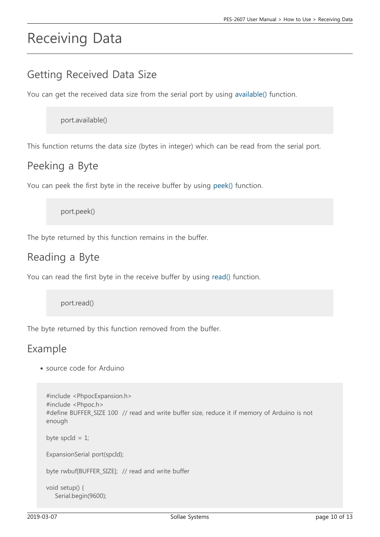## Receiving Data

### Getting Received Data Size

You can get the received data size from the serial port by using [available\(\)](https://www.phpoc.com/support/manual/phpoc_shield_expansion_library_reference/contents.php?id=expansion_serial_available) function.

port.available()

This function returns the data size (bytes in integer) which can be read from the serial port.

#### Peeking a Byte

You can peek the first byte in the receive buffer by using [peek\(\)](https://www.phpoc.com/support/manual/phpoc_shield_expansion_library_reference/contents.php?id=expansion_serial_peek) function.

port.peek()

The byte returned by this function remains in the buffer.

#### Reading a Byte

You can read the first byte in the receive buffer by using [read\(\)](https://www.phpoc.com/support/manual/phpoc_shield_expansion_library_reference/contents.php?id=expansion_serial_read) function.

port.read()

The byte returned by this function removed from the buffer.

### Example

source code for Arduino

```
#include <PhpocExpansion.h>
#include <Phpoc.h>
#define BUFFER_SIZE 100 // read and write buffer size, reduce it if memory of Arduino is not
enough
byte spcId = 1;
ExpansionSerial port(spcId);
byte rwbuf[BUFFER_SIZE]; // read and write buffer
void setup() {
    Serial.begin(9600);
```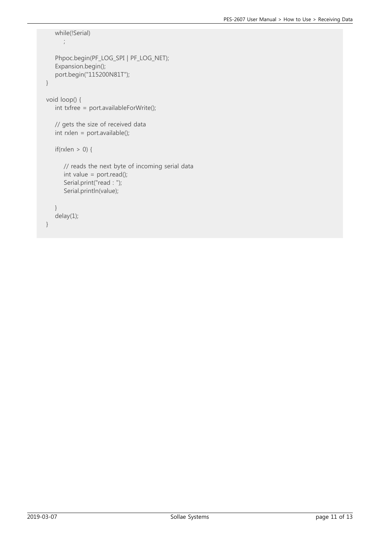```
 while(!Serial)
       ;
    Phpoc.begin(PF_LOG_SPI | PF_LOG_NET);
    Expansion.begin();
    port.begin("115200N81T");
}
void loop() {
    int txfree = port.availableForWrite();
    // gets the size of received data
    int rxlen = port.available();
   if(rxlen > 0) {
       // reads the next byte of incoming serial data
      int value = port.read();
       Serial.print("read : ");
       Serial.println(value);
    }
    delay(1);
}
```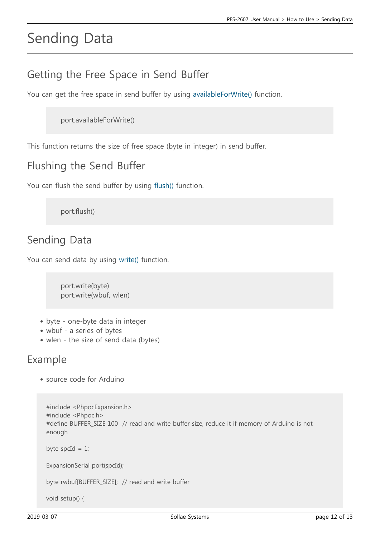# Sending Data

## Getting the Free Space in Send Buffer

You can get the free space in send buffer by using [availableForWrite\(\)](https://www.phpoc.com/support/manual/phpoc_shield_expansion_library_reference/contents.php?id=expansion_serial_availableforwrite) function.

port.availableForWrite()

This function returns the size of free space (byte in integer) in send buffer.

### Flushing the Send Buffer

You can flush the send buffer by using [flush\(\)](https://www.phpoc.com/support/manual/phpoc_shield_expansion_library_reference/contents.php?id=expansion_serial_flush) function.

port.flush()

### Sending Data

You can send data by using [write\(\)](https://www.phpoc.com/support/manual/phpoc_shield_expansion_library_reference/contents.php?id=expansion_serial_write) function.

port.write(byte) port.write(wbuf, wlen)

- byte one-byte data in integer
- wbuf a series of bytes
- wlen the size of send data (bytes)

#### Example

source code for Arduino

```
#include <PhpocExpansion.h>
#include <Phpoc.h>
#define BUFFER_SIZE 100 // read and write buffer size, reduce it if memory of Arduino is not
enough
byte spcId = 1;
ExpansionSerial port(spcId);
```
byte rwbuf[BUFFER\_SIZE]; // read and write buffer

void setup() {